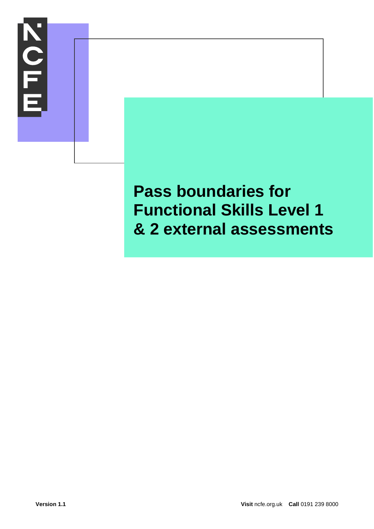

## **Pass boundaries for Functional Skills Level 1 & 2 external assessments**